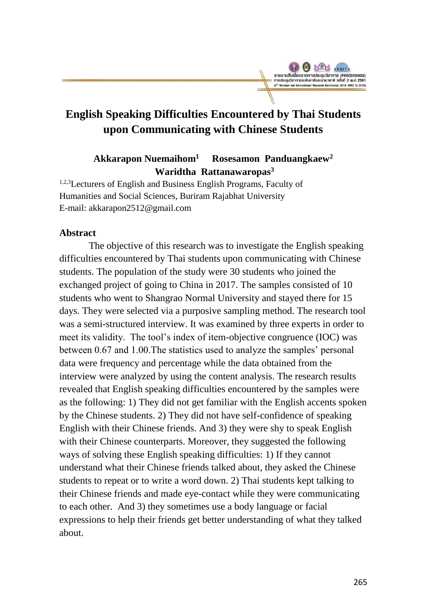

# **English Speaking Difficulties Encountered by Thai Students upon Communicating with Chinese Students**

**Akkarapon Nuemaihom<sup>1</sup> Rosesamon Panduangkaew<sup>2</sup> Waridtha Rattanawaropas<sup>3</sup>**

1,2,3Lecturers of English and Business English Programs, Faculty of Humanities and Social Sciences, Buriram Rajabhat University E-mail: akkarapon2512@gmail.com

## **Abstract**

The objective of this research was to investigate the English speaking difficulties encountered by Thai students upon communicating with Chinese students. The population of the study were 30 students who joined the exchanged project of going to China in 2017. The samples consisted of 10 students who went to Shangrao Normal University and stayed there for 15 days. They were selected via a purposive sampling method. The research tool was a semi-structured interview. It was examined by three experts in order to meet its validity. The tool's index of item-objective congruence (IOC) was between 0.67 and 1.00.The statistics used to analyze the samples' personal data were frequency and percentage while the data obtained from the interview were analyzed by using the content analysis. The research results revealed that English speaking difficulties encountered by the samples were as the following: 1) They did not get familiar with the English accents spoken by the Chinese students. 2) They did not have self-confidence of speaking English with their Chinese friends. And 3) they were shy to speak English with their Chinese counterparts. Moreover, they suggested the following ways of solving these English speaking difficulties: 1) If they cannot understand what their Chinese friends talked about, they asked the Chinese students to repeat or to write a word down. 2) Thai students kept talking to their Chinese friends and made eye-contact while they were communicating to each other. And 3) they sometimes use a body language or facial expressions to help their friends get better understanding of what they talked about.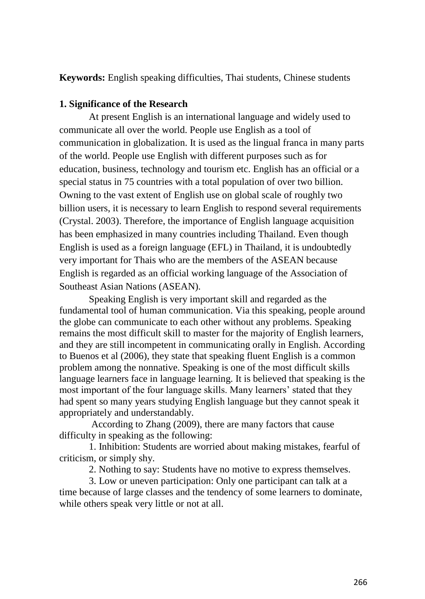**Keywords:** English speaking difficulties, Thai students, Chinese students

# **1. Significance of the Research**

At present English is an international language and widely used to communicate all over the world. People use English as a tool of communication in globalization. It is used as the lingual franca in many parts of the world. People use English with different purposes such as for education, business, technology and tourism etc. English has an official or a special status in 75 countries with a total population of over two billion. Owning to the vast extent of English use on global scale of roughly two billion users, it is necessary to learn English to respond several requirements (Crystal. 2003). Therefore, the importance of English language acquisition has been emphasized in many countries including Thailand. Even though English is used as a foreign language (EFL) in Thailand, it is undoubtedly very important for Thais who are the members of the ASEAN because English is regarded as an official working language of the Association of Southeast Asian Nations (ASEAN).

Speaking English is very important skill and regarded as the fundamental tool of human communication. Via this speaking, people around the globe can communicate to each other without any problems. Speaking remains the most difficult skill to master for the majority of English learners, and they are still incompetent in communicating orally in English. According to Buenos et al (2006), they state that speaking fluent English is a common problem among the nonnative. Speaking is one of the most difficult skills language learners face in language learning. It is believed that speaking is the most important of the four language skills. Many learners' stated that they had spent so many years studying English language but they cannot speak it appropriately and understandably.

According to Zhang (2009), there are many factors that cause difficulty in speaking as the following:

1. Inhibition: Students are worried about making mistakes, fearful of criticism, or simply shy.

2. Nothing to say: Students have no motive to express themselves.

3. Low or uneven participation: Only one participant can talk at a time because of large classes and the tendency of some learners to dominate, while others speak very little or not at all.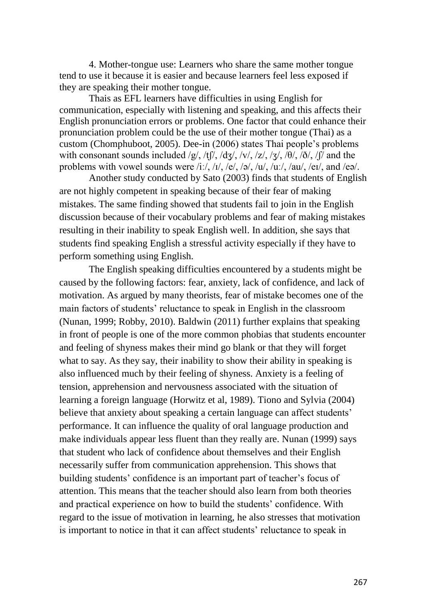4. Mother-tongue use: Learners who share the same mother tongue tend to use it because it is easier and because learners feel less exposed if they are speaking their mother tongue.

Thais as EFL learners have difficulties in using English for communication, especially with listening and speaking, and this affects their English pronunciation errors or problems. One factor that could enhance their pronunciation problem could be the use of their mother tongue (Thai) as a custom (Chomphuboot, 2005). Dee-in (2006) states Thai people's problems with consonant sounds included /g/, /tf/, /dʒ/, /v/, /z/, /ʒ/, / $\theta$ /, / $\delta$ /, /f/ and the problems with vowel sounds were  $/i$ :/,  $/i$ ,  $/e$ /,  $/a$ /,  $/u$ ,  $/u$ ,  $/u$ ,  $/u$ ,  $/e$ l, and  $/e$ a/.

Another study conducted by Sato (2003) finds that students of English are not highly competent in speaking because of their fear of making mistakes. The same finding showed that students fail to join in the English discussion because of their vocabulary problems and fear of making mistakes resulting in their inability to speak English well. In addition, she says that students find speaking English a stressful activity especially if they have to perform something using English.

The English speaking difficulties encountered by a students might be caused by the following factors: fear, anxiety, lack of confidence, and lack of motivation. As argued by many theorists, fear of mistake becomes one of the main factors of students' reluctance to speak in English in the classroom (Nunan, 1999; Robby, 2010). Baldwin (2011) further explains that speaking in front of people is one of the more common phobias that students encounter and feeling of shyness makes their mind go blank or that they will forget what to say. As they say, their inability to show their ability in speaking is also influenced much by their feeling of shyness. Anxiety is a feeling of tension, apprehension and nervousness associated with the situation of learning a foreign language (Horwitz et al, 1989). Tiono and Sylvia (2004) believe that anxiety about speaking a certain language can affect students' performance. It can influence the quality of oral language production and make individuals appear less fluent than they really are. Nunan (1999) says that student who lack of confidence about themselves and their English necessarily suffer from communication apprehension. This shows that building students' confidence is an important part of teacher's focus of attention. This means that the teacher should also learn from both theories and practical experience on how to build the students' confidence. With regard to the issue of motivation in learning, he also stresses that motivation is important to notice in that it can affect students' reluctance to speak in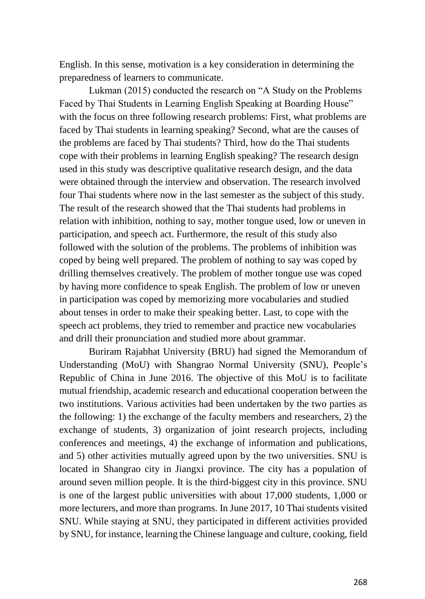English. In this sense, motivation is a key consideration in determining the preparedness of learners to communicate.

Lukman (2015) conducted the research on "A Study on the Problems Faced by Thai Students in Learning English Speaking at Boarding House" with the focus on three following research problems: First, what problems are faced by Thai students in learning speaking? Second, what are the causes of the problems are faced by Thai students? Third, how do the Thai students cope with their problems in learning English speaking? The research design used in this study was descriptive qualitative research design, and the data were obtained through the interview and observation. The research involved four Thai students where now in the last semester as the subject of this study. The result of the research showed that the Thai students had problems in relation with inhibition, nothing to say, mother tongue used, low or uneven in participation, and speech act. Furthermore, the result of this study also followed with the solution of the problems. The problems of inhibition was coped by being well prepared. The problem of nothing to say was coped by drilling themselves creatively. The problem of mother tongue use was coped by having more confidence to speak English. The problem of low or uneven in participation was coped by memorizing more vocabularies and studied about tenses in order to make their speaking better. Last, to cope with the speech act problems, they tried to remember and practice new vocabularies and drill their pronunciation and studied more about grammar.

Buriram Rajabhat University (BRU) had signed the Memorandum of Understanding (MoU) with Shangrao Normal University (SNU), People's Republic of China in June 2016. The objective of this MoU is to facilitate mutual friendship, academic research and educational cooperation between the two institutions. Various activities had been undertaken by the two parties as the following: 1) the exchange of the faculty members and researchers, 2) the exchange of students, 3) organization of joint research projects, including conferences and meetings, 4) the exchange of information and publications, and 5) other activities mutually agreed upon by the two universities. SNU is located in Shangrao city in Jiangxi province. The city has a population of around seven million people. It is the third-biggest city in this province. SNU is one of the largest public universities with about 17,000 students, 1,000 or more lecturers, and more than programs. In June 2017, 10 Thai students visited SNU. While staying at SNU, they participated in different activities provided by SNU, for instance, learning the Chinese language and culture, cooking, field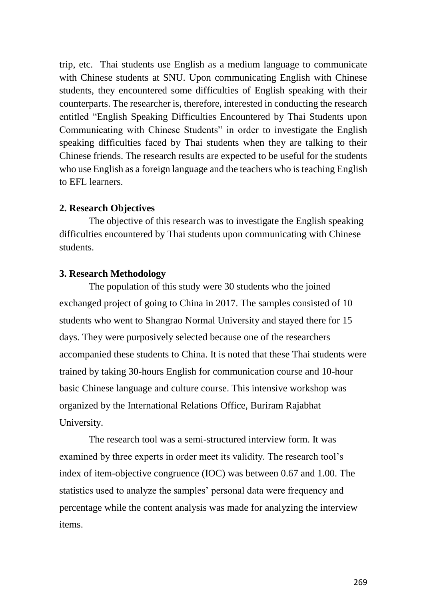trip, etc. Thai students use English as a medium language to communicate with Chinese students at SNU. Upon communicating English with Chinese students, they encountered some difficulties of English speaking with their counterparts. The researcher is, therefore, interested in conducting the research entitled "English Speaking Difficulties Encountered by Thai Students upon Communicating with Chinese Students" in order to investigate the English speaking difficulties faced by Thai students when they are talking to their Chinese friends. The research results are expected to be useful for the students who use English as a foreign language and the teachers who is teaching English to EFL learners.

## **2. Research Objectives**

The objective of this research was to investigate the English speaking difficulties encountered by Thai students upon communicating with Chinese students.

# **3. Research Methodology**

The population of this study were 30 students who the joined exchanged project of going to China in 2017. The samples consisted of 10 students who went to Shangrao Normal University and stayed there for 15 days. They were purposively selected because one of the researchers accompanied these students to China. It is noted that these Thai students were trained by taking 30-hours English for communication course and 10-hour basic Chinese language and culture course. This intensive workshop was organized by the International Relations Office, Buriram Rajabhat University.

The research tool was a semi-structured interview form. It was examined by three experts in order meet its validity. The research tool's index of item-objective congruence (IOC) was between 0.67 and 1.00. The statistics used to analyze the samples' personal data were frequency and percentage while the content analysis was made for analyzing the interview items.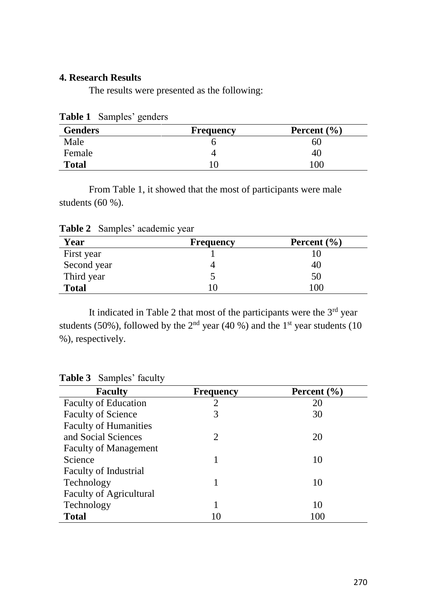# **4. Research Results**

The results were presented as the following:

| <b>Genders</b> | <b>Frequency</b> | Percent $(\% )$ |
|----------------|------------------|-----------------|
| Male           |                  | 60              |
| Female         |                  | 40              |
| <b>Total</b>   |                  | 100             |

**Table 1** Samples' genders

From Table 1, it showed that the most of participants were male students (60 %).

| Year         | <b>Frequency</b> | Percent $(\% )$ |
|--------------|------------------|-----------------|
| First year   |                  |                 |
| Second year  |                  | 40              |
| Third year   |                  | 50              |
| <b>Total</b> |                  | 100             |

**Table 2** Samples' academic year

It indicated in Table 2 that most of the participants were the  $3<sup>rd</sup>$  year students (50%), followed by the  $2<sup>nd</sup>$  year (40 %) and the 1<sup>st</sup> year students (10 %), respectively.

| <b>Frequency</b> | Percent $(\% )$ |
|------------------|-----------------|
| $\overline{2}$   | 20              |
| 3                | 30              |
|                  |                 |
| 2                | 20              |
|                  |                 |
|                  | 10              |
|                  |                 |
|                  | 10              |
|                  |                 |
|                  | 10              |
| 10               | 100             |
|                  |                 |

**Table 3** Samples' faculty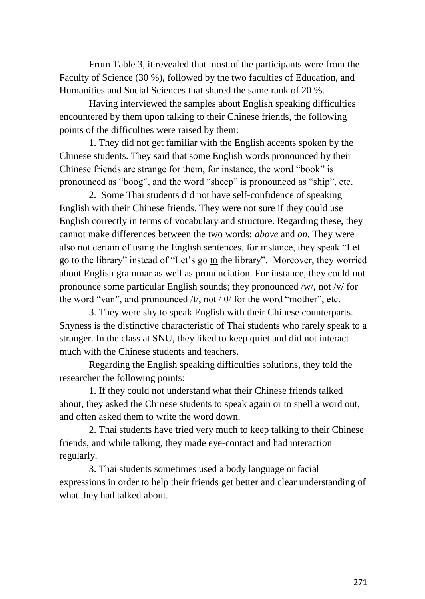From Table 3, it revealed that most of the participants were from the Faculty of Science (30 %), followed by the two faculties of Education, and Humanities and Social Sciences that shared the same rank of 20 %.

Having interviewed the samples about English speaking difficulties encountered by them upon talking to their Chinese friends, the following points of the difficulties were raised by them:

1. They did not get familiar with the English accents spoken by the Chinese students. They said that some English words pronounced by their Chinese friends are strange for them, for instance, the word "book" is pronounced as "boog", and the word "sheep" is pronounced as "ship", etc.

2. Some Thai students did not have self-confidence of speaking English with their Chinese friends. They were not sure if they could use English correctly in terms of vocabulary and structure. Regarding these, they cannot make differences between the two words: *above* and *on*. They were also not certain of using the English sentences, for instance, they speak "Let go to the library" instead of "Let's go to the library". Moreover, they worried about English grammar as well as pronunciation. For instance, they could not pronounce some particular English sounds; they pronounced /w/, not /v/ for the word "van", and pronounced /t/, not /  $\theta$ / for the word "mother", etc.

3. They were shy to speak English with their Chinese counterparts. Shyness is the distinctive characteristic of Thai students who rarely speak to a stranger. In the class at SNU, they liked to keep quiet and did not interact much with the Chinese students and teachers.

Regarding the English speaking difficulties solutions, they told the researcher the following points:

1. If they could not understand what their Chinese friends talked about, they asked the Chinese students to speak again or to spell a word out, and often asked them to write the word down.

2. Thai students have tried very much to keep talking to their Chinese friends, and while talking, they made eye-contact and had interaction regularly.

3. Thai students sometimes used a body language or facial expressions in order to help their friends get better and clear understanding of what they had talked about.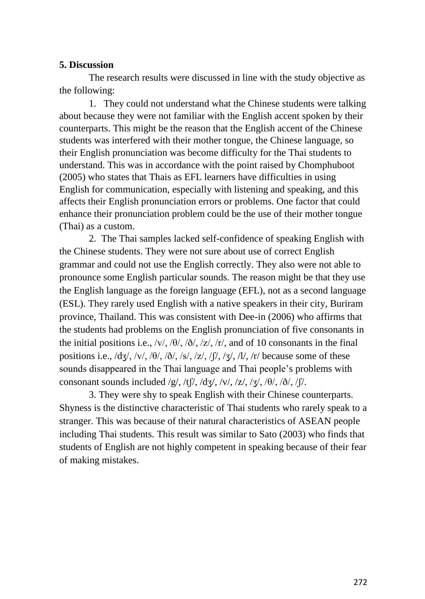#### **5. Discussion**

The research results were discussed in line with the study objective as the following:

1. They could not understand what the Chinese students were talking about because they were not familiar with the English accent spoken by their counterparts. This might be the reason that the English accent of the Chinese students was interfered with their mother tongue, the Chinese language, so their English pronunciation was become difficulty for the Thai students to understand. This was in accordance with the point raised by Chomphuboot (2005) who states that Thais as EFL learners have difficulties in using English for communication, especially with listening and speaking, and this affects their English pronunciation errors or problems. One factor that could enhance their pronunciation problem could be the use of their mother tongue (Thai) as a custom.

2. The Thai samples lacked self-confidence of speaking English with the Chinese students. They were not sure about use of correct English grammar and could not use the English correctly. They also were not able to pronounce some English particular sounds. The reason might be that they use the English language as the foreign language (EFL), not as a second language (ESL). They rarely used English with a native speakers in their city, Buriram province, Thailand. This was consistent with Dee-in (2006) who affirms that the students had problems on the English pronunciation of five consonants in the initial positions i.e.,  $\frac{v}{v}$ ,  $\frac{\theta}{\lambda}$ ,  $\frac{\delta}{\lambda}$ ,  $\frac{z}{\lambda}$ ,  $\frac{r}{\lambda}$ , and of 10 consonants in the final positions i.e.,  $\frac{d}{3}, \frac{dv}{v}$ ,  $\frac{\theta}{3}, \frac{\delta}{s}, \frac{\delta}{s}, \frac{\delta}{s}, \frac{\delta}{s}, \frac{\delta}{s}, \frac{\delta}{s}, \frac{\delta}{s}, \frac{\delta}{s}, \frac{\delta}{s}, \frac{\delta}{s}, \frac{\delta}{s}$ sounds disappeared in the Thai language and Thai people's problems with consonant sounds included /g/, /tf/, /dʒ/, /v/, /z/, /ʒ/, / $\theta$ /, / $\delta$ /, /f/.

3. They were shy to speak English with their Chinese counterparts. Shyness is the distinctive characteristic of Thai students who rarely speak to a stranger. This was because of their natural characteristics of ASEAN people including Thai students. This result was similar to Sato (2003) who finds that students of English are not highly competent in speaking because of their fear of making mistakes.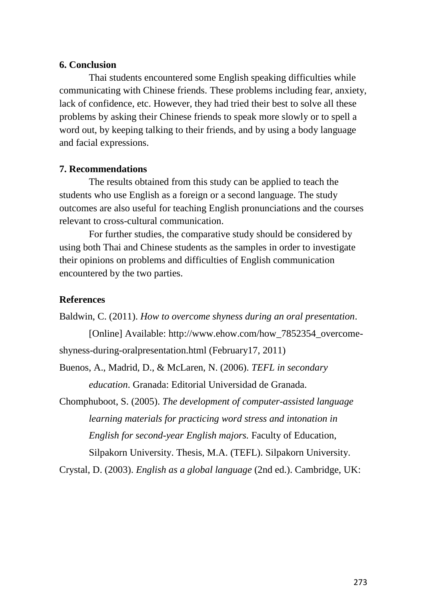#### **6. Conclusion**

Thai students encountered some English speaking difficulties while communicating with Chinese friends. These problems including fear, anxiety, lack of confidence, etc. However, they had tried their best to solve all these problems by asking their Chinese friends to speak more slowly or to spell a word out, by keeping talking to their friends, and by using a body language and facial expressions.

## **7. Recommendations**

The results obtained from this study can be applied to teach the students who use English as a foreign or a second language. The study outcomes are also useful for teaching English pronunciations and the courses relevant to cross-cultural communication.

For further studies, the comparative study should be considered by using both Thai and Chinese students as the samples in order to investigate their opinions on problems and difficulties of English communication encountered by the two parties.

## **References**

Baldwin, C. (2011). *How to overcome shyness during an oral presentation*.

[Online] Available: http://www.ehow.com/how\_7852354\_overcomeshyness-during-oralpresentation.html (February17, 2011)

Buenos, A., Madrid, D., & McLaren, N. (2006). *TEFL in secondary education*. Granada: Editorial Universidad de Granada.

Chomphuboot, S. (2005). *The development of computer-assisted language learning materials for practicing word stress and intonation in English for second-year English majors.* Faculty of Education, Silpakorn University. Thesis, M.A. (TEFL). Silpakorn University.

Crystal, D. (2003). *English as a global language* (2nd ed.). Cambridge, UK: